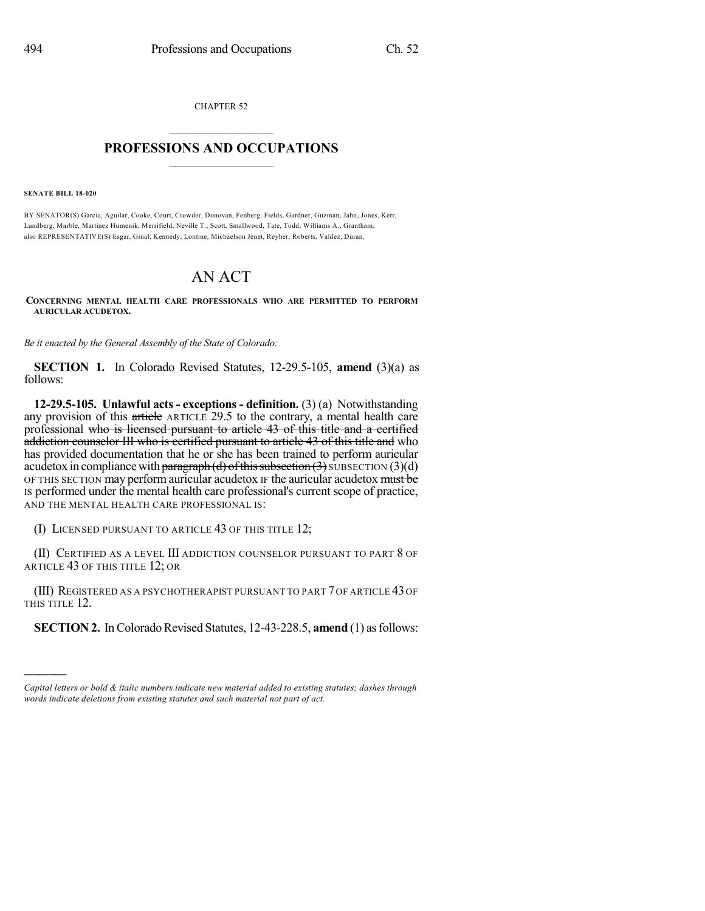CHAPTER 52  $\overline{\phantom{a}}$  . The set of the set of the set of the set of the set of the set of the set of the set of the set of the set of the set of the set of the set of the set of the set of the set of the set of the set of the set o

## **PROFESSIONS AND OCCUPATIONS**  $\frac{1}{2}$  ,  $\frac{1}{2}$  ,  $\frac{1}{2}$  ,  $\frac{1}{2}$  ,  $\frac{1}{2}$  ,  $\frac{1}{2}$  ,  $\frac{1}{2}$

**SENATE BILL 18-020**

)))))

BY SENATOR(S) Garcia, Aguilar, Cooke, Court, Crowder, Donovan, Fenberg, Fields, Gardner, Guzman, Jahn, Jones, Kerr, Lundberg, Marble, Martinez Humenik, Merrifield, Neville T., Scott, Smallwood, Tate, Todd, Williams A., Grantham; also REPRESENTATIVE(S) Esgar, Ginal, Kennedy, Lontine, Michaelson Jenet, Reyher, Roberts, Valdez, Duran.

## AN ACT

**CONCERNING MENTAL HEALTH CARE PROFESSIONALS WHO ARE PERMITTED TO PERFORM AURICULAR ACUDETOX.**

*Be it enacted by the General Assembly of the State of Colorado:*

**SECTION 1.** In Colorado Revised Statutes, 12-29.5-105, **amend** (3)(a) as follows:

**12-29.5-105. Unlawful acts - exceptions - definition.** (3) (a) Notwithstanding any provision of this article ARTICLE 29.5 to the contrary, a mental health care professional who is licensed pursuant to article 43 of this title and a certified addiction counselor III who is certified pursuant to article 43 of this title and who has provided documentation that he or she has been trained to perform auricular acudetox in compliance with paragraph (d) of this subsection  $(3)$  SUBSECTION  $(3)(d)$ OF THIS SECTION may perform auricular acudetox IF the auricular acudetox must be IS performed under the mental health care professional's current scope of practice, AND THE MENTAL HEALTH CARE PROFESSIONAL IS:

(I) LICENSED PURSUANT TO ARTICLE 43 OF THIS TITLE 12;

(II) CERTIFIED AS A LEVEL III ADDICTION COUNSELOR PURSUANT TO PART 8 OF ARTICLE 43 OF THIS TITLE 12; OR

(III) REGISTERED AS A PSYCHOTHERAPIST PURSUANT TO PART 7 OF ARTICLE 43 OF THIS TITLE 12.

**SECTION 2.** In Colorado Revised Statutes, 12-43-228.5, **amend** (1) as follows:

*Capital letters or bold & italic numbers indicate new material added to existing statutes; dashes through words indicate deletions from existing statutes and such material not part of act.*